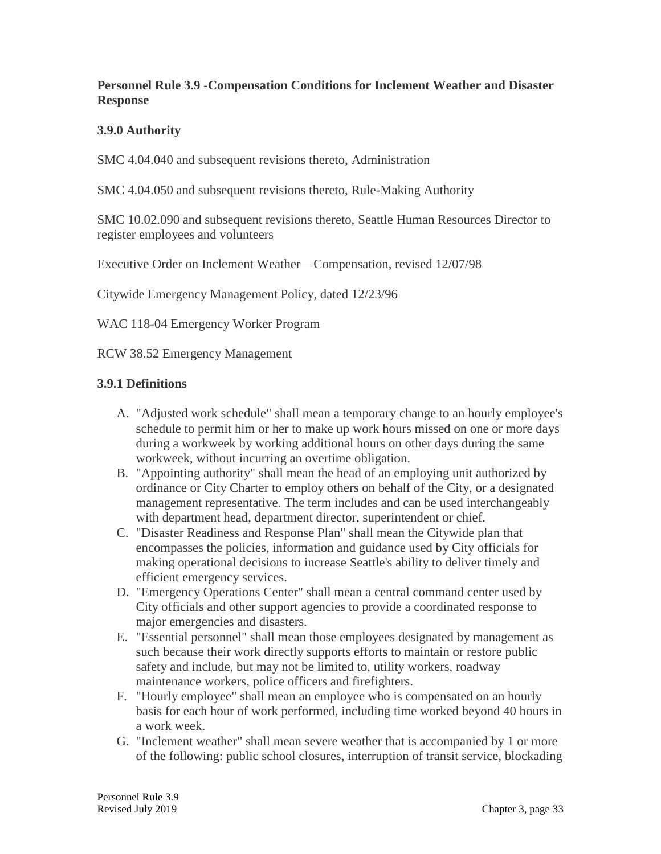### **Personnel Rule 3.9 -Compensation Conditions for Inclement Weather and Disaster Response**

## **3.9.0 Authority**

SMC 4.04.040 and subsequent revisions thereto, Administration

SMC 4.04.050 and subsequent revisions thereto, Rule-Making Authority

SMC 10.02.090 and subsequent revisions thereto, Seattle Human Resources Director to register employees and volunteers

Executive Order on Inclement Weather—Compensation, revised 12/07/98

Citywide Emergency Management Policy, dated 12/23/96

WAC 118-04 Emergency Worker Program

RCW 38.52 Emergency Management

### **3.9.1 Definitions**

- A. "Adjusted work schedule" shall mean a temporary change to an hourly employee's schedule to permit him or her to make up work hours missed on one or more days during a workweek by working additional hours on other days during the same workweek, without incurring an overtime obligation.
- B. "Appointing authority" shall mean the head of an employing unit authorized by ordinance or City Charter to employ others on behalf of the City, or a designated management representative. The term includes and can be used interchangeably with department head, department director, superintendent or chief.
- C. "Disaster Readiness and Response Plan" shall mean the Citywide plan that encompasses the policies, information and guidance used by City officials for making operational decisions to increase Seattle's ability to deliver timely and efficient emergency services.
- D. "Emergency Operations Center" shall mean a central command center used by City officials and other support agencies to provide a coordinated response to major emergencies and disasters.
- E. "Essential personnel" shall mean those employees designated by management as such because their work directly supports efforts to maintain or restore public safety and include, but may not be limited to, utility workers, roadway maintenance workers, police officers and firefighters.
- F. "Hourly employee" shall mean an employee who is compensated on an hourly basis for each hour of work performed, including time worked beyond 40 hours in a work week.
- G. "Inclement weather" shall mean severe weather that is accompanied by 1 or more of the following: public school closures, interruption of transit service, blockading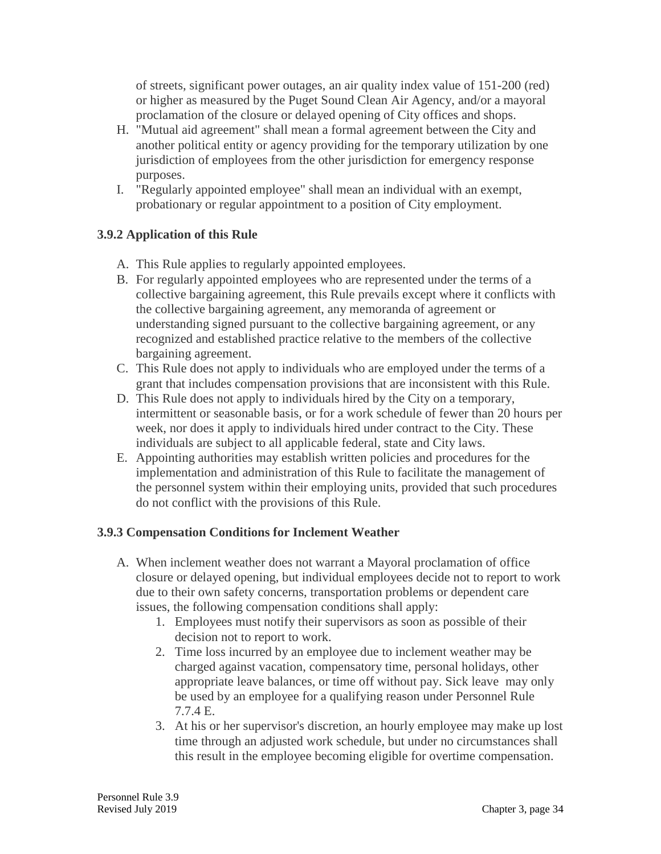of streets, significant power outages, an air quality index value of 151-200 (red) or higher as measured by the Puget Sound Clean Air Agency, and/or a mayoral proclamation of the closure or delayed opening of City offices and shops.

- H. "Mutual aid agreement" shall mean a formal agreement between the City and another political entity or agency providing for the temporary utilization by one jurisdiction of employees from the other jurisdiction for emergency response purposes.
- I. "Regularly appointed employee" shall mean an individual with an exempt, probationary or regular appointment to a position of City employment.

# **3.9.2 Application of this Rule**

- A. This Rule applies to regularly appointed employees.
- B. For regularly appointed employees who are represented under the terms of a collective bargaining agreement, this Rule prevails except where it conflicts with the collective bargaining agreement, any memoranda of agreement or understanding signed pursuant to the collective bargaining agreement, or any recognized and established practice relative to the members of the collective bargaining agreement.
- C. This Rule does not apply to individuals who are employed under the terms of a grant that includes compensation provisions that are inconsistent with this Rule.
- D. This Rule does not apply to individuals hired by the City on a temporary, intermittent or seasonable basis, or for a work schedule of fewer than 20 hours per week, nor does it apply to individuals hired under contract to the City. These individuals are subject to all applicable federal, state and City laws.
- E. Appointing authorities may establish written policies and procedures for the implementation and administration of this Rule to facilitate the management of the personnel system within their employing units, provided that such procedures do not conflict with the provisions of this Rule.

### **3.9.3 Compensation Conditions for Inclement Weather**

- A. When inclement weather does not warrant a Mayoral proclamation of office closure or delayed opening, but individual employees decide not to report to work due to their own safety concerns, transportation problems or dependent care issues, the following compensation conditions shall apply:
	- 1. Employees must notify their supervisors as soon as possible of their decision not to report to work.
	- 2. Time loss incurred by an employee due to inclement weather may be charged against vacation, compensatory time, personal holidays, other appropriate leave balances, or time off without pay. Sick leave may only be used by an employee for a qualifying reason under Personnel Rule 7.7.4 E.
	- 3. At his or her supervisor's discretion, an hourly employee may make up lost time through an adjusted work schedule, but under no circumstances shall this result in the employee becoming eligible for overtime compensation.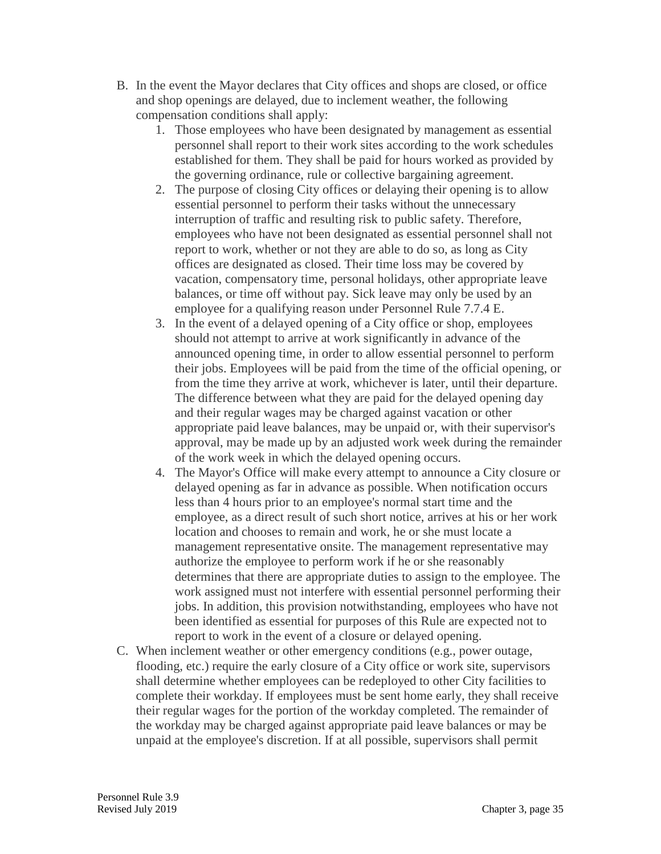- B. In the event the Mayor declares that City offices and shops are closed, or office and shop openings are delayed, due to inclement weather, the following compensation conditions shall apply:
	- 1. Those employees who have been designated by management as essential personnel shall report to their work sites according to the work schedules established for them. They shall be paid for hours worked as provided by the governing ordinance, rule or collective bargaining agreement.
	- 2. The purpose of closing City offices or delaying their opening is to allow essential personnel to perform their tasks without the unnecessary interruption of traffic and resulting risk to public safety. Therefore, employees who have not been designated as essential personnel shall not report to work, whether or not they are able to do so, as long as City offices are designated as closed. Their time loss may be covered by vacation, compensatory time, personal holidays, other appropriate leave balances, or time off without pay. Sick leave may only be used by an employee for a qualifying reason under Personnel Rule 7.7.4 E.
	- 3. In the event of a delayed opening of a City office or shop, employees should not attempt to arrive at work significantly in advance of the announced opening time, in order to allow essential personnel to perform their jobs. Employees will be paid from the time of the official opening, or from the time they arrive at work, whichever is later, until their departure. The difference between what they are paid for the delayed opening day and their regular wages may be charged against vacation or other appropriate paid leave balances, may be unpaid or, with their supervisor's approval, may be made up by an adjusted work week during the remainder of the work week in which the delayed opening occurs.
	- 4. The Mayor's Office will make every attempt to announce a City closure or delayed opening as far in advance as possible. When notification occurs less than 4 hours prior to an employee's normal start time and the employee, as a direct result of such short notice, arrives at his or her work location and chooses to remain and work, he or she must locate a management representative onsite. The management representative may authorize the employee to perform work if he or she reasonably determines that there are appropriate duties to assign to the employee. The work assigned must not interfere with essential personnel performing their jobs. In addition, this provision notwithstanding, employees who have not been identified as essential for purposes of this Rule are expected not to report to work in the event of a closure or delayed opening.
- C. When inclement weather or other emergency conditions (e.g., power outage, flooding, etc.) require the early closure of a City office or work site, supervisors shall determine whether employees can be redeployed to other City facilities to complete their workday. If employees must be sent home early, they shall receive their regular wages for the portion of the workday completed. The remainder of the workday may be charged against appropriate paid leave balances or may be unpaid at the employee's discretion. If at all possible, supervisors shall permit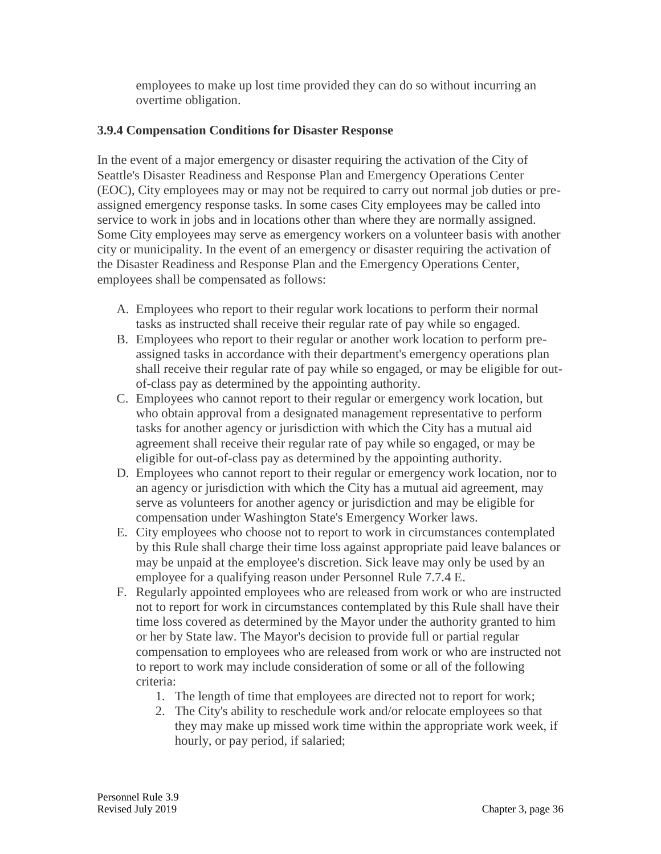employees to make up lost time provided they can do so without incurring an overtime obligation.

### **3.9.4 Compensation Conditions for Disaster Response**

In the event of a major emergency or disaster requiring the activation of the City of Seattle's Disaster Readiness and Response Plan and Emergency Operations Center (EOC), City employees may or may not be required to carry out normal job duties or preassigned emergency response tasks. In some cases City employees may be called into service to work in jobs and in locations other than where they are normally assigned. Some City employees may serve as emergency workers on a volunteer basis with another city or municipality. In the event of an emergency or disaster requiring the activation of the Disaster Readiness and Response Plan and the Emergency Operations Center, employees shall be compensated as follows:

- A. Employees who report to their regular work locations to perform their normal tasks as instructed shall receive their regular rate of pay while so engaged.
- B. Employees who report to their regular or another work location to perform preassigned tasks in accordance with their department's emergency operations plan shall receive their regular rate of pay while so engaged, or may be eligible for outof-class pay as determined by the appointing authority.
- C. Employees who cannot report to their regular or emergency work location, but who obtain approval from a designated management representative to perform tasks for another agency or jurisdiction with which the City has a mutual aid agreement shall receive their regular rate of pay while so engaged, or may be eligible for out-of-class pay as determined by the appointing authority.
- D. Employees who cannot report to their regular or emergency work location, nor to an agency or jurisdiction with which the City has a mutual aid agreement, may serve as volunteers for another agency or jurisdiction and may be eligible for compensation under Washington State's Emergency Worker laws.
- E. City employees who choose not to report to work in circumstances contemplated by this Rule shall charge their time loss against appropriate paid leave balances or may be unpaid at the employee's discretion. Sick leave may only be used by an employee for a qualifying reason under Personnel Rule 7.7.4 E.
- F. Regularly appointed employees who are released from work or who are instructed not to report for work in circumstances contemplated by this Rule shall have their time loss covered as determined by the Mayor under the authority granted to him or her by State law. The Mayor's decision to provide full or partial regular compensation to employees who are released from work or who are instructed not to report to work may include consideration of some or all of the following criteria:
	- 1. The length of time that employees are directed not to report for work;
	- 2. The City's ability to reschedule work and/or relocate employees so that they may make up missed work time within the appropriate work week, if hourly, or pay period, if salaried;